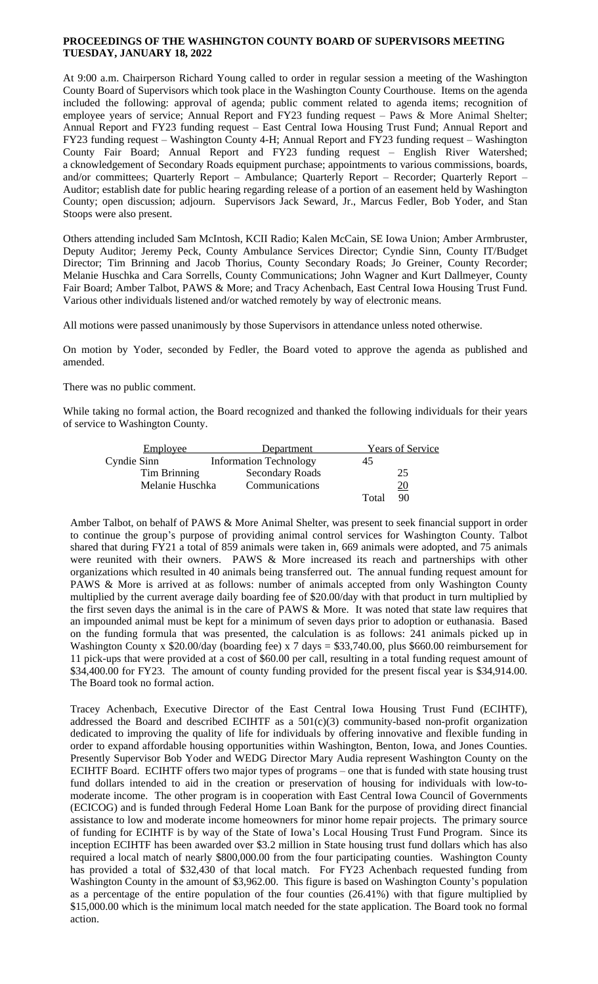## **PROCEEDINGS OF THE WASHINGTON COUNTY BOARD OF SUPERVISORS MEETING TUESDAY, JANUARY 18, 2022**

At 9:00 a.m. Chairperson Richard Young called to order in regular session a meeting of the Washington County Board of Supervisors which took place in the Washington County Courthouse. Items on the agenda included the following: approval of agenda; public comment related to agenda items; recognition of employee years of service; Annual Report and FY23 funding request – Paws & More Animal Shelter; Annual Report and FY23 funding request – East Central Iowa Housing Trust Fund; Annual Report and FY23 funding request – Washington County 4-H; Annual Report and FY23 funding request – Washington County Fair Board; Annual Report and FY23 funding request – English River Watershed; a cknowledgement of Secondary Roads equipment purchase; appointments to various commissions, boards, and/or committees; Quarterly Report – Ambulance; Quarterly Report – Recorder; Quarterly Report – Auditor; establish date for public hearing regarding release of a portion of an easement held by Washington County; open discussion; adjourn. Supervisors Jack Seward, Jr., Marcus Fedler, Bob Yoder, and Stan Stoops were also present.

Others attending included Sam McIntosh, KCII Radio; Kalen McCain, SE Iowa Union; Amber Armbruster, Deputy Auditor; Jeremy Peck, County Ambulance Services Director; Cyndie Sinn, County IT/Budget Director; Tim Brinning and Jacob Thorius, County Secondary Roads; Jo Greiner, County Recorder; Melanie Huschka and Cara Sorrells, County Communications; John Wagner and Kurt Dallmeyer, County Fair Board; Amber Talbot, PAWS & More; and Tracy Achenbach, East Central Iowa Housing Trust Fund. Various other individuals listened and/or watched remotely by way of electronic means.

All motions were passed unanimously by those Supervisors in attendance unless noted otherwise.

On motion by Yoder, seconded by Fedler, the Board voted to approve the agenda as published and amended.

There was no public comment.

While taking no formal action, the Board recognized and thanked the following individuals for their years of service to Washington County.

| <b>Employee</b> | Department                    |       | <b>Years of Service</b> |
|-----------------|-------------------------------|-------|-------------------------|
| Cyndie Sinn     | <b>Information Technology</b> | 45    |                         |
| Tim Brinning    | Secondary Roads               |       | 25                      |
| Melanie Huschka | Communications                |       | <u> 20</u>              |
|                 |                               | Tota. | 90                      |

Amber Talbot, on behalf of PAWS & More Animal Shelter, was present to seek financial support in order to continue the group's purpose of providing animal control services for Washington County. Talbot shared that during FY21 a total of 859 animals were taken in, 669 animals were adopted, and 75 animals were reunited with their owners. PAWS & More increased its reach and partnerships with other organizations which resulted in 40 animals being transferred out. The annual funding request amount for PAWS & More is arrived at as follows: number of animals accepted from only Washington County multiplied by the current average daily boarding fee of \$20.00/day with that product in turn multiplied by the first seven days the animal is in the care of PAWS & More. It was noted that state law requires that an impounded animal must be kept for a minimum of seven days prior to adoption or euthanasia. Based on the funding formula that was presented, the calculation is as follows: 241 animals picked up in Washington County x \$20.00/day (boarding fee) x 7 days = \$33,740.00, plus \$660.00 reimbursement for 11 pick-ups that were provided at a cost of \$60.00 per call, resulting in a total funding request amount of \$34,400.00 for FY23. The amount of county funding provided for the present fiscal year is \$34,914.00. The Board took no formal action.

Tracey Achenbach, Executive Director of the East Central Iowa Housing Trust Fund (ECIHTF), addressed the Board and described ECIHTF as a 501(c)(3) community-based non-profit organization dedicated to improving the quality of life for individuals by offering innovative and flexible funding in order to expand affordable housing opportunities within Washington, Benton, Iowa, and Jones Counties. Presently Supervisor Bob Yoder and WEDG Director Mary Audia represent Washington County on the ECIHTF Board. ECIHTF offers two major types of programs – one that is funded with state housing trust fund dollars intended to aid in the creation or preservation of housing for individuals with low-tomoderate income. The other program is in cooperation with East Central Iowa Council of Governments (ECICOG) and is funded through Federal Home Loan Bank for the purpose of providing direct financial assistance to low and moderate income homeowners for minor home repair projects. The primary source of funding for ECIHTF is by way of the State of Iowa's Local Housing Trust Fund Program. Since its inception ECIHTF has been awarded over \$3.2 million in State housing trust fund dollars which has also required a local match of nearly \$800,000.00 from the four participating counties. Washington County has provided a total of \$32,430 of that local match. For FY23 Achenbach requested funding from Washington County in the amount of \$3,962.00. This figure is based on Washington County's population as a percentage of the entire population of the four counties (26.41%) with that figure multiplied by \$15,000.00 which is the minimum local match needed for the state application. The Board took no formal action.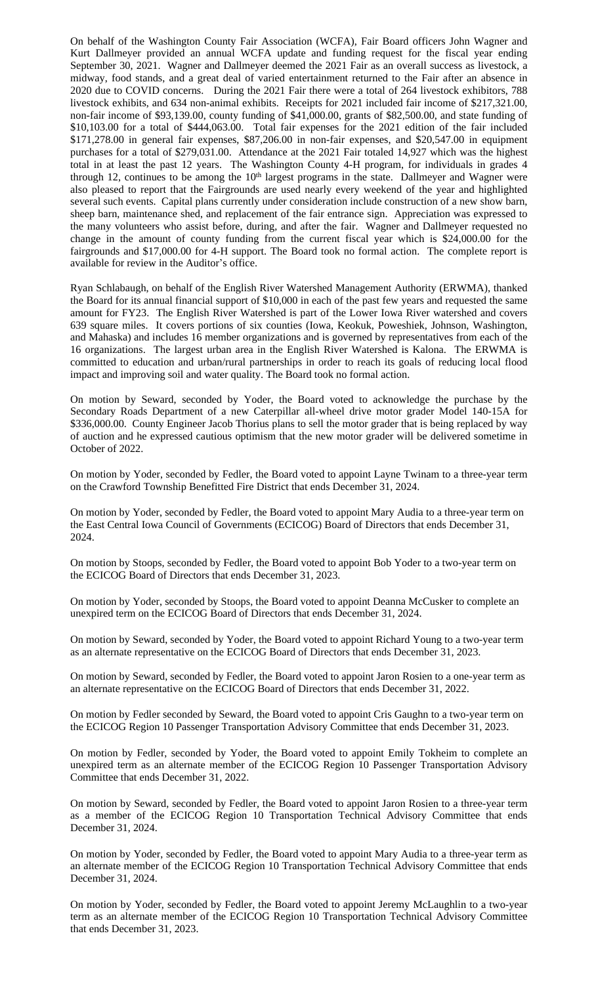On behalf of the Washington County Fair Association (WCFA), Fair Board officers John Wagner and Kurt Dallmeyer provided an annual WCFA update and funding request for the fiscal year ending September 30, 2021. Wagner and Dallmeyer deemed the 2021 Fair as an overall success as livestock, a midway, food stands, and a great deal of varied entertainment returned to the Fair after an absence in 2020 due to COVID concerns. During the 2021 Fair there were a total of 264 livestock exhibitors, 788 livestock exhibits, and 634 non-animal exhibits. Receipts for 2021 included fair income of \$217,321.00, non-fair income of \$93,139.00, county funding of \$41,000.00, grants of \$82,500.00, and state funding of \$10,103.00 for a total of \$444,063.00. Total fair expenses for the 2021 edition of the fair included \$171,278.00 in general fair expenses, \$87,206.00 in non-fair expenses, and \$20,547.00 in equipment purchases for a total of \$279,031.00. Attendance at the 2021 Fair totaled 14,927 which was the highest total in at least the past 12 years. The Washington County 4-H program, for individuals in grades 4 through 12, continues to be among the 10<sup>th</sup> largest programs in the state. Dallmeyer and Wagner were also pleased to report that the Fairgrounds are used nearly every weekend of the year and highlighted several such events. Capital plans currently under consideration include construction of a new show barn, sheep barn, maintenance shed, and replacement of the fair entrance sign. Appreciation was expressed to the many volunteers who assist before, during, and after the fair. Wagner and Dallmeyer requested no change in the amount of county funding from the current fiscal year which is \$24,000.00 for the fairgrounds and \$17,000.00 for 4-H support. The Board took no formal action. The complete report is available for review in the Auditor's office.

Ryan Schlabaugh, on behalf of the English River Watershed Management Authority (ERWMA), thanked the Board for its annual financial support of \$10,000 in each of the past few years and requested the same amount for FY23. The English River Watershed is part of the Lower Iowa River watershed and covers 639 square miles. It covers portions of six counties (Iowa, Keokuk, Poweshiek, Johnson, Washington, and Mahaska) and includes 16 member organizations and is governed by representatives from each of the 16 organizations. The largest urban area in the English River Watershed is Kalona. The ERWMA is committed to education and urban/rural partnerships in order to reach its goals of reducing local flood impact and improving soil and water quality. The Board took no formal action.

On motion by Seward, seconded by Yoder, the Board voted to acknowledge the purchase by the Secondary Roads Department of a new Caterpillar all-wheel drive motor grader Model 140-15A for \$336,000.00. County Engineer Jacob Thorius plans to sell the motor grader that is being replaced by way of auction and he expressed cautious optimism that the new motor grader will be delivered sometime in October of 2022.

On motion by Yoder, seconded by Fedler, the Board voted to appoint Layne Twinam to a three-year term on the Crawford Township Benefitted Fire District that ends December 31, 2024.

On motion by Yoder, seconded by Fedler, the Board voted to appoint Mary Audia to a three-year term on the East Central Iowa Council of Governments (ECICOG) Board of Directors that ends December 31, 2024.

On motion by Stoops, seconded by Fedler, the Board voted to appoint Bob Yoder to a two-year term on the ECICOG Board of Directors that ends December 31, 2023.

On motion by Yoder, seconded by Stoops, the Board voted to appoint Deanna McCusker to complete an unexpired term on the ECICOG Board of Directors that ends December 31, 2024.

On motion by Seward, seconded by Yoder, the Board voted to appoint Richard Young to a two-year term as an alternate representative on the ECICOG Board of Directors that ends December 31, 2023.

On motion by Seward, seconded by Fedler, the Board voted to appoint Jaron Rosien to a one-year term as an alternate representative on the ECICOG Board of Directors that ends December 31, 2022.

On motion by Fedler seconded by Seward, the Board voted to appoint Cris Gaughn to a two-year term on the ECICOG Region 10 Passenger Transportation Advisory Committee that ends December 31, 2023.

On motion by Fedler, seconded by Yoder, the Board voted to appoint Emily Tokheim to complete an unexpired term as an alternate member of the ECICOG Region 10 Passenger Transportation Advisory Committee that ends December 31, 2022.

On motion by Seward, seconded by Fedler, the Board voted to appoint Jaron Rosien to a three-year term as a member of the ECICOG Region 10 Transportation Technical Advisory Committee that ends December 31, 2024.

On motion by Yoder, seconded by Fedler, the Board voted to appoint Mary Audia to a three-year term as an alternate member of the ECICOG Region 10 Transportation Technical Advisory Committee that ends December 31, 2024.

On motion by Yoder, seconded by Fedler, the Board voted to appoint Jeremy McLaughlin to a two-year term as an alternate member of the ECICOG Region 10 Transportation Technical Advisory Committee that ends December 31, 2023.